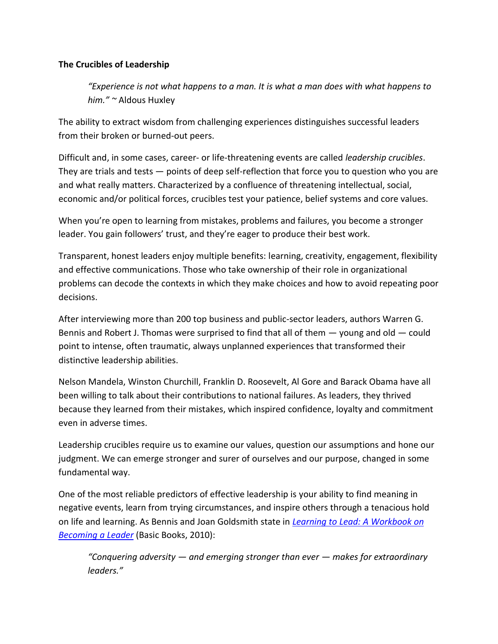# **The Crucibles of Leadership**

*͞Experience is not what happens to a man. It is what a man does with what happens to him.͟ ~* Aldous Huxley

The ability to extract wisdom from challenging experiences distinguishes successful leaders from their broken or burned-out peers.

Difficult and, in some cases, career- or life-threatening events are called *leadership crucibles*. They are trials and tests — points of deep self-reflection that force you to question who you are and what really matters. Characterized by a confluence of threatening intellectual, social, economic and/or political forces, crucibles test your patience, belief systems and core values.

When you're open to learning from mistakes, problems and failures, you become a stronger leader. You gain followers' trust, and they're eager to produce their best work.

Transparent, honest leaders enjoy multiple benefits: learning, creativity, engagement, flexibility and effective communications. Those who take ownership of their role in organizational problems can decode the contexts in which they make choices and how to avoid repeating poor decisions.

After interviewing more than 200 top business and public-sector leaders, authors Warren G. Bennis and Robert J. Thomas were surprised to find that all of them — young and old — could point to intense, often traumatic, always unplanned experiences that transformed their distinctive leadership abilities.

Nelson Mandela, Winston Churchill, Franklin D. Roosevelt, Al Gore and Barack Obama have all been willing to talk about their contributions to national failures. As leaders, they thrived because they learned from their mistakes, which inspired confidence, loyalty and commitment even in adverse times.

Leadership crucibles require us to examine our values, question our assumptions and hone our judgment. We can emerge stronger and surer of ourselves and our purpose, changed in some fundamental way.

One of the most reliable predictors of effective leadership is your ability to find meaning in negative events, learn from trying circumstances, and inspire others through a tenacious hold on life and learning. As Bennis and Joan Goldsmith state in *[Learning to Lead: A Workbook on](http://www.amazon.com/Learning-Lead-Workbook-Becoming-Leader/dp/0465018866)  [Becoming a Leader](http://www.amazon.com/Learning-Lead-Workbook-Becoming-Leader/dp/0465018866)* (Basic Books, 2010):

*͞Conquering adversity — and emerging stronger than ever — makes for extraordinary leaders.͟*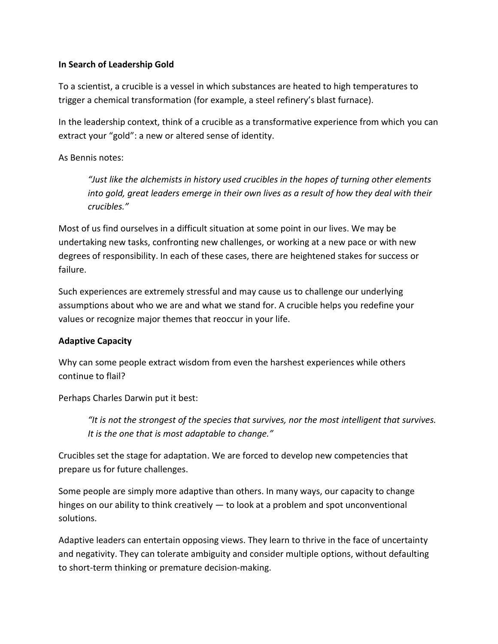## **In Search of Leadership Gold**

To a scientist, a crucible is a vessel in which substances are heated to high temperatures to trigger a chemical transformation (for example, a steel refinery's blast furnace).

In the leadership context, think of a crucible as a transformative experience from which you can extract your "gold": a new or altered sense of identity.

As Bennis notes:

*͞Just like the alchemists in history used crucibles in the hopes of turning other elements into gold, great leaders emerge in their own lives as a result of how they deal with their crucibles.͟*

Most of us find ourselves in a difficult situation at some point in our lives. We may be undertaking new tasks, confronting new challenges, or working at a new pace or with new degrees of responsibility. In each of these cases, there are heightened stakes for success or failure.

Such experiences are extremely stressful and may cause us to challenge our underlying assumptions about who we are and what we stand for. A crucible helps you redefine your values or recognize major themes that reoccur in your life.

# **Adaptive Capacity**

Why can some people extract wisdom from even the harshest experiences while others continue to flail?

Perhaps Charles Darwin put it best:

*͞It is not the strongest of the species that survives, nor the most intelligent that survives. It is the one that is most adaptable to change.*<sup>*"*</sup>

Crucibles set the stage for adaptation. We are forced to develop new competencies that prepare us for future challenges.

Some people are simply more adaptive than others. In many ways, our capacity to change hinges on our ability to think creatively — to look at a problem and spot unconventional solutions.

Adaptive leaders can entertain opposing views. They learn to thrive in the face of uncertainty and negativity. They can tolerate ambiguity and consider multiple options, without defaulting to short-term thinking or premature decision-making.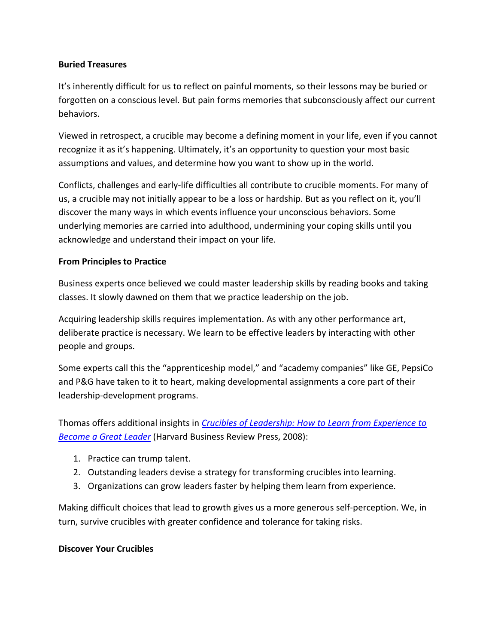## **Buried Treasures**

It's inherently difficult for us to reflect on painful moments, so their lessons may be buried or forgotten on a conscious level. But pain forms memories that subconsciously affect our current behaviors.

Viewed in retrospect, a crucible may become a defining moment in your life, even if you cannot recognize it as it's happening. Ultimately, it's an opportunity to question your most basic assumptions and values, and determine how you want to show up in the world.

Conflicts, challenges and early-life difficulties all contribute to crucible moments. For many of us, a crucible may not initially appear to be a loss or hardship. But as you reflect on it, you'll discover the many ways in which events influence your unconscious behaviors. Some underlying memories are carried into adulthood, undermining your coping skills until you acknowledge and understand their impact on your life.

## **From Principles to Practice**

Business experts once believed we could master leadership skills by reading books and taking classes. It slowly dawned on them that we practice leadership on the job.

Acquiring leadership skills requires implementation. As with any other performance art, deliberate practice is necessary. We learn to be effective leaders by interacting with other people and groups.

Some experts call this the "apprenticeship model," and "academy companies" like GE, PepsiCo and P&G have taken to it to heart, making developmental assignments a core part of their leadership-development programs.

Thomas offers additional insights in *[Crucibles of Leadership: How to Learn from Experience to](http://www.amazon.com/exec/obidos/ASIN/B004OEIQ5E/wwwcustomized-20)  [Become a Great Leader](http://www.amazon.com/exec/obidos/ASIN/B004OEIQ5E/wwwcustomized-20)* (Harvard Business Review Press, 2008):

- 1. Practice can trump talent.
- 2. Outstanding leaders devise a strategy for transforming crucibles into learning.
- 3. Organizations can grow leaders faster by helping them learn from experience.

Making difficult choices that lead to growth gives us a more generous self-perception. We, in turn, survive crucibles with greater confidence and tolerance for taking risks.

#### **Discover Your Crucibles**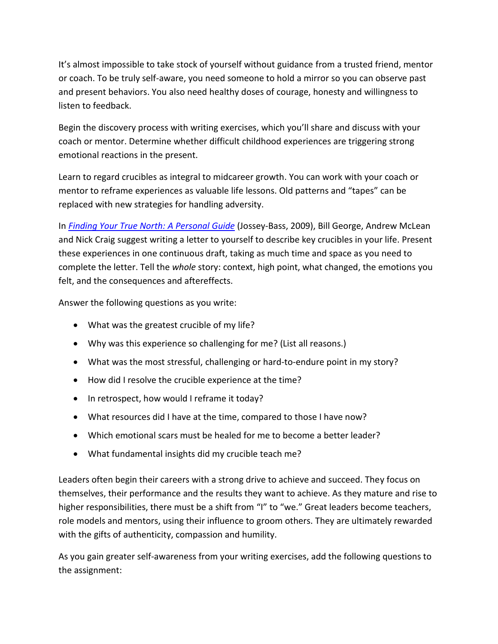It's almost impossible to take stock of yourself without guidance from a trusted friend, mentor or coach. To be truly self-aware, you need someone to hold a mirror so you can observe past and present behaviors. You also need healthy doses of courage, honesty and willingness to listen to feedback.

Begin the discovery process with writing exercises, which you'll share and discuss with your coach or mentor. Determine whether difficult childhood experiences are triggering strong emotional reactions in the present.

Learn to regard crucibles as integral to midcareer growth. You can work with your coach or mentor to reframe experiences as valuable life lessons. Old patterns and "tapes" can be replaced with new strategies for handling adversity.

In *[Finding Your True North: A Personal Guide](http://www.amazon.com/exec/obidos/ASIN/%20B008L03V98/wwwcustomized-20)* (Jossey-Bass, 2009), Bill George, Andrew McLean and Nick Craig suggest writing a letter to yourself to describe key crucibles in your life. Present these experiences in one continuous draft, taking as much time and space as you need to complete the letter. Tell the *whole* story: context, high point, what changed, the emotions you felt, and the consequences and aftereffects.

Answer the following questions as you write:

- What was the greatest crucible of my life?
- Why was this experience so challenging for me? (List all reasons.)
- What was the most stressful, challenging or hard-to-endure point in my story?
- How did I resolve the crucible experience at the time?
- In retrospect, how would I reframe it today?
- What resources did I have at the time, compared to those I have now?
- Which emotional scars must be healed for me to become a better leader?
- What fundamental insights did my crucible teach me?

Leaders often begin their careers with a strong drive to achieve and succeed. They focus on themselves, their performance and the results they want to achieve. As they mature and rise to higher responsibilities, there must be a shift from "I" to "we." Great leaders become teachers, role models and mentors, using their influence to groom others. They are ultimately rewarded with the gifts of authenticity, compassion and humility.

As you gain greater self-awareness from your writing exercises, add the following questions to the assignment: